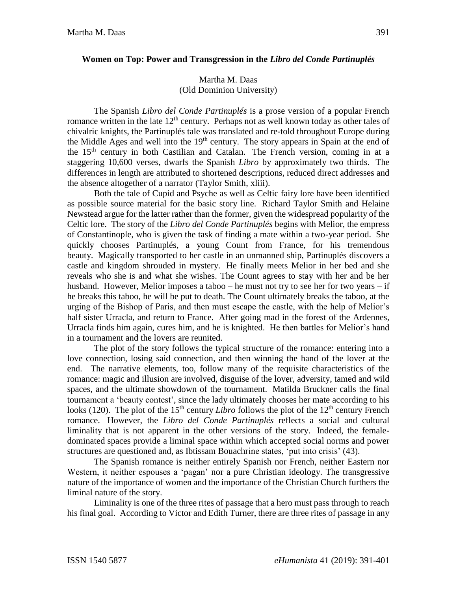## **Women on Top: Power and Transgression in the** *Libro del Conde Partinuplés*

## Martha M. Daas (Old Dominion University)

The Spanish *Libro del Conde Partinuplés* is a prose version of a popular French romance written in the late  $12<sup>th</sup>$  century. Perhaps not as well known today as other tales of chivalric knights, the Partinuplés tale was translated and re-told throughout Europe during the Middle Ages and well into the 19<sup>th</sup> century. The story appears in Spain at the end of the 15<sup>th</sup> century in both Castilian and Catalan. The French version, coming in at a staggering 10,600 verses, dwarfs the Spanish *Libro* by approximately two thirds. The differences in length are attributed to shortened descriptions, reduced direct addresses and the absence altogether of a narrator (Taylor Smith, xliii).

Both the tale of Cupid and Psyche as well as Celtic fairy lore have been identified as possible source material for the basic story line. Richard Taylor Smith and Helaine Newstead argue for the latter rather than the former, given the widespread popularity of the Celtic lore. The story of the *Libro del Conde Partinuplés* begins with Melior, the empress of Constantinople, who is given the task of finding a mate within a two-year period. She quickly chooses Partinuplés, a young Count from France, for his tremendous beauty. Magically transported to her castle in an unmanned ship, Partinuplés discovers a castle and kingdom shrouded in mystery. He finally meets Melior in her bed and she reveals who she is and what she wishes. The Count agrees to stay with her and be her husband. However, Melior imposes a taboo – he must not try to see her for two years – if he breaks this taboo, he will be put to death. The Count ultimately breaks the taboo, at the urging of the Bishop of Paris, and then must escape the castle, with the help of Melior's half sister Urracla, and return to France. After going mad in the forest of the Ardennes, Urracla finds him again, cures him, and he is knighted. He then battles for Melior's hand in a tournament and the lovers are reunited.

The plot of the story follows the typical structure of the romance: entering into a love connection, losing said connection, and then winning the hand of the lover at the end. The narrative elements, too, follow many of the requisite characteristics of the romance: magic and illusion are involved, disguise of the lover, adversity, tamed and wild spaces, and the ultimate showdown of the tournament. Matilda Bruckner calls the final tournament a 'beauty contest', since the lady ultimately chooses her mate according to his looks (120). The plot of the 15<sup>th</sup> century *Libro* follows the plot of the 12<sup>th</sup> century French romance. However, the *Libro del Conde Partinuplés* reflects a social and cultural liminality that is not apparent in the other versions of the story. Indeed, the femaledominated spaces provide a liminal space within which accepted social norms and power structures are questioned and, as Ibtissam Bouachrine states, 'put into crisis' (43).

The Spanish romance is neither entirely Spanish nor French, neither Eastern nor Western, it neither espouses a 'pagan' nor a pure Christian ideology. The transgressive nature of the importance of women and the importance of the Christian Church furthers the liminal nature of the story.

Liminality is one of the three rites of passage that a hero must pass through to reach his final goal. According to Victor and Edith Turner, there are three rites of passage in any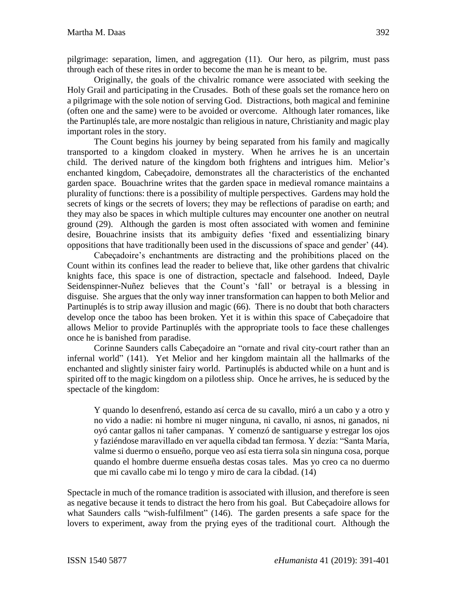pilgrimage: separation, limen, and aggregation (11). Our hero, as pilgrim, must pass through each of these rites in order to become the man he is meant to be.

Originally, the goals of the chivalric romance were associated with seeking the Holy Grail and participating in the Crusades. Both of these goals set the romance hero on a pilgrimage with the sole notion of serving God. Distractions, both magical and feminine (often one and the same) were to be avoided or overcome. Although later romances, like the Partinuplés tale, are more nostalgic than religious in nature, Christianity and magic play important roles in the story.

The Count begins his journey by being separated from his family and magically transported to a kingdom cloaked in mystery. When he arrives he is an uncertain child. The derived nature of the kingdom both frightens and intrigues him. Melior's enchanted kingdom, Cabeçadoire, demonstrates all the characteristics of the enchanted garden space. Bouachrine writes that the garden space in medieval romance maintains a plurality of functions: there is a possibility of multiple perspectives. Gardens may hold the secrets of kings or the secrets of lovers; they may be reflections of paradise on earth; and they may also be spaces in which multiple cultures may encounter one another on neutral ground (29). Although the garden is most often associated with women and feminine desire, Bouachrine insists that its ambiguity defies 'fixed and essentializing binary oppositions that have traditionally been used in the discussions of space and gender' (44).

Cabeçadoire's enchantments are distracting and the prohibitions placed on the Count within its confines lead the reader to believe that, like other gardens that chivalric knights face, this space is one of distraction, spectacle and falsehood. Indeed, Dayle Seidenspinner-Nuñez believes that the Count's 'fall' or betrayal is a blessing in disguise. She argues that the only way inner transformation can happen to both Melior and Partinuplés is to strip away illusion and magic (66). There is no doubt that both characters develop once the taboo has been broken. Yet it is within this space of Cabeçadoire that allows Melior to provide Partinuplés with the appropriate tools to face these challenges once he is banished from paradise.

Corinne Saunders calls Cabeçadoire an "ornate and rival city-court rather than an infernal world" (141). Yet Melior and her kingdom maintain all the hallmarks of the enchanted and slightly sinister fairy world. Partinuplés is abducted while on a hunt and is spirited off to the magic kingdom on a pilotless ship. Once he arrives, he is seduced by the spectacle of the kingdom:

Y quando lo desenfrenó, estando así cerca de su cavallo, miró a un cabo y a otro y no vido a nadie: ni hombre ni muger ninguna, ni cavallo, ni asnos, ni ganados, ni oyó cantar gallos ni tañer campanas. Y comenzó de santiguarse y estregar los ojos y faziéndose maravillado en ver aquella cibdad tan fermosa. Y dezía: "Santa María, valme si duermo o ensueño, porque veo así esta tierra sola sin ninguna cosa, porque quando el hombre duerme ensueña destas cosas tales. Mas yo creo ca no duermo que mi cavallo cabe mi lo tengo y miro de cara la cibdad. (14)

Spectacle in much of the romance tradition is associated with illusion, and therefore is seen as negative because it tends to distract the hero from his goal. But Cabeçadoire allows for what Saunders calls "wish-fulfilment" (146). The garden presents a safe space for the lovers to experiment, away from the prying eyes of the traditional court. Although the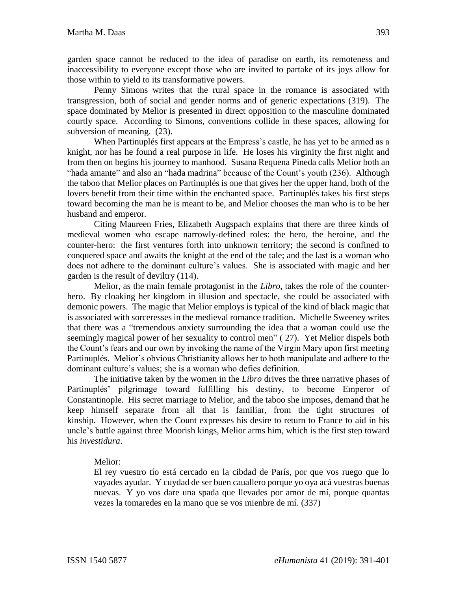garden space cannot be reduced to the idea of paradise on earth, its remoteness and inaccessibility to everyone except those who are invited to partake of its joys allow for those within to yield to its transformative powers.

Penny Simons writes that the rural space in the romance is associated with transgression, both of social and gender norms and of generic expectations (319). The space dominated by Melior is presented in direct opposition to the masculine dominated courtly space. According to Simons, conventions collide in these spaces, allowing for subversion of meaning.  $(23)$ .

When Partinuplés first appears at the Empress's castle, he has yet to be armed as a knight, nor has he found a real purpose in life. He loses his virginity the first night and from then on begins his journey to manhood. Susana Requena Pineda calls Melior both an "hada amante" and also an "hada madrina" because of the Count's youth (236). Although the taboo that Melior places on Partinuplés is one that gives her the upper hand, both of the lovers benefit from their time within the enchanted space. Partinuplés takes his first steps toward becoming the man he is meant to be, and Melior chooses the man who is to be her husband and emperor.

Citing Maureen Fries, Elizabeth Augspach explains that there are three kinds of medieval women who escape narrowly-defined roles: the hero, the heroine, and the counter-hero: the first ventures forth into unknown territory; the second is confined to conquered space and awaits the knight at the end of the tale; and the last is a woman who does not adhere to the dominant culture's values. She is associated with magic and her garden is the result of deviltry (114).

Melior, as the main female protagonist in the *Libro*, takes the role of the counterhero. By cloaking her kingdom in illusion and spectacle, she could be associated with demonic powers. The magic that Melior employs is typical of the kind of black magic that is associated with sorceresses in the medieval romance tradition. Michelle Sweeney writes that there was a "tremendous anxiety surrounding the idea that a woman could use the seemingly magical power of her sexuality to control men" ( 27). Yet Melior dispels both the Count's fears and our own by invoking the name of the Virgin Mary upon first meeting Partinuplés. Melior's obvious Christianity allows her to both manipulate and adhere to the dominant culture's values; she is a woman who defies definition.

The initiative taken by the women in the *Libro* drives the three narrative phases of Partinuplés' pilgrimage toward fulfilling his destiny, to become Emperor of Constantinople. His secret marriage to Melior, and the taboo she imposes, demand that he keep himself separate from all that is familiar, from the tight structures of kinship. However, when the Count expresses his desire to return to France to aid in his uncle's battle against three Moorish kings, Melior arms him, which is the first step toward his *investidura*.

## Melior:

El rey vuestro tío está cercado en la cibdad de París, por que vos ruego que lo vayades ayudar. Y cuydad de ser buen cauallero porque yo oya acá vuestras buenas nuevas. Y yo vos dare una spada que llevades por amor de mí, porque quantas vezes la tomaredes en la mano que se vos mienbre de mí. (337)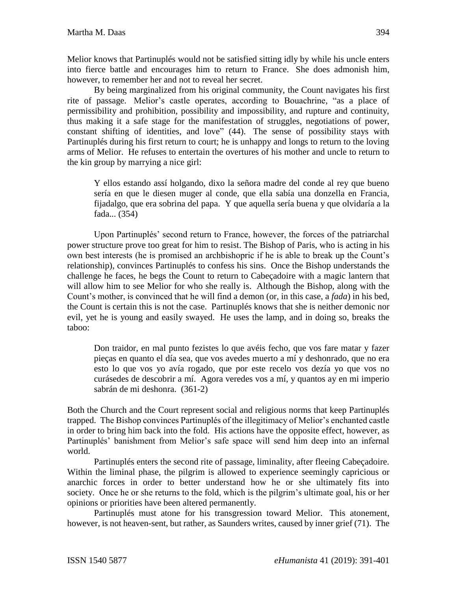By being marginalized from his original community, the Count navigates his first rite of passage. Melior's castle operates, according to Bouachrine, "as a place of permissibility and prohibition, possibility and impossibility, and rupture and continuity, thus making it a safe stage for the manifestation of struggles, negotiations of power, constant shifting of identities, and love" (44). The sense of possibility stays with Partinuplés during his first return to court; he is unhappy and longs to return to the loving arms of Melior. He refuses to entertain the overtures of his mother and uncle to return to the kin group by marrying a nice girl:

Y ellos estando assí holgando, dixo la señora madre del conde al rey que bueno sería en que le diesen muger al conde, que ella sabía una donzella en Francia, fijadalgo, que era sobrina del papa. Y que aquella sería buena y que olvidaría a la fada... (354)

Upon Partinuplés' second return to France, however, the forces of the patriarchal power structure prove too great for him to resist. The Bishop of Paris, who is acting in his own best interests (he is promised an archbishopric if he is able to break up the Count's relationship), convinces Partinuplés to confess his sins. Once the Bishop understands the challenge he faces, he begs the Count to return to Cabeçadoire with a magic lantern that will allow him to see Melior for who she really is. Although the Bishop, along with the Count's mother, is convinced that he will find a demon (or, in this case, a *fada*) in his bed, the Count is certain this is not the case. Partinuplés knows that she is neither demonic nor evil, yet he is young and easily swayed. He uses the lamp, and in doing so, breaks the taboo:

Don traidor, en mal punto fezistes lo que avéis fecho, que vos fare matar y fazer pieças en quanto el día sea, que vos avedes muerto a mí y deshonrado, que no era esto lo que vos yo avía rogado, que por este recelo vos dezía yo que vos no curásedes de descobrir a mí. Agora veredes vos a mí, y quantos ay en mi imperio sabrán de mi deshonra. (361-2)

Both the Church and the Court represent social and religious norms that keep Partinuplés trapped. The Bishop convinces Partinuplés of the illegitimacy of Melior's enchanted castle in order to bring him back into the fold. His actions have the opposite effect, however, as Partinuplés' banishment from Melior's safe space will send him deep into an infernal world.

Partinuplés enters the second rite of passage, liminality, after fleeing Cabeçadoire. Within the liminal phase, the pilgrim is allowed to experience seemingly capricious or anarchic forces in order to better understand how he or she ultimately fits into society. Once he or she returns to the fold, which is the pilgrim's ultimate goal, his or her opinions or priorities have been altered permanently.

Partinuplés must atone for his transgression toward Melior. This atonement, however, is not heaven-sent, but rather, as Saunders writes, caused by inner grief (71). The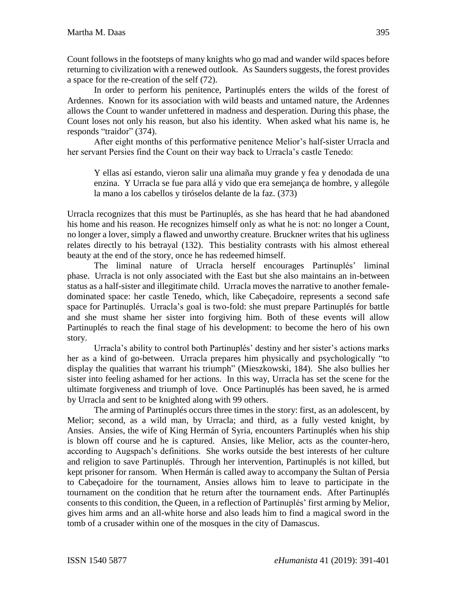Count follows in the footsteps of many knights who go mad and wander wild spaces before returning to civilization with a renewed outlook. As Saunders suggests, the forest provides a space for the re-creation of the self (72).

In order to perform his penitence, Partinuplés enters the wilds of the forest of Ardennes. Known for its association with wild beasts and untamed nature, the Ardennes allows the Count to wander unfettered in madness and desperation. During this phase, the Count loses not only his reason, but also his identity. When asked what his name is, he responds "traidor" (374).

After eight months of this performative penitence Melior's half-sister Urracla and her servant Persies find the Count on their way back to Urracla's castle Tenedo:

Y ellas así estando, vieron salir una alimaña muy grande y fea y denodada de una enzina. Y Urracla se fue para allá y vido que era semejança de hombre, y allególe la mano a los cabellos y tiróselos delante de la faz. (373)

Urracla recognizes that this must be Partinuplés, as she has heard that he had abandoned his home and his reason. He recognizes himself only as what he is not: no longer a Count, no longer a lover, simply a flawed and unworthy creature. Bruckner writes that his ugliness relates directly to his betrayal (132). This bestiality contrasts with his almost ethereal beauty at the end of the story, once he has redeemed himself.

The liminal nature of Urracla herself encourages Partinuplés' liminal phase. Urracla is not only associated with the East but she also maintains an in-between status as a half-sister and illegitimate child. Urracla moves the narrative to another femaledominated space: her castle Tenedo, which, like Cabeçadoire, represents a second safe space for Partinuplés. Urracla's goal is two-fold: she must prepare Partinuplés for battle and she must shame her sister into forgiving him. Both of these events will allow Partinuplés to reach the final stage of his development: to become the hero of his own story.

Urracla's ability to control both Partinuplés' destiny and her sister's actions marks her as a kind of go-between. Urracla prepares him physically and psychologically "to display the qualities that warrant his triumph" (Mieszkowski, 184). She also bullies her sister into feeling ashamed for her actions. In this way, Urracla has set the scene for the ultimate forgiveness and triumph of love. Once Partinuplés has been saved, he is armed by Urracla and sent to be knighted along with 99 others.

The arming of Partinuplés occurs three times in the story: first, as an adolescent, by Melior; second, as a wild man, by Urracla; and third, as a fully vested knight, by Ansies. Ansies, the wife of King Hermán of Syria, encounters Partinuplés when his ship is blown off course and he is captured. Ansies, like Melior, acts as the counter-hero, according to Augspach's definitions. She works outside the best interests of her culture and religion to save Partinuplés. Through her intervention, Partinuplés is not killed, but kept prisoner for ransom. When Hermán is called away to accompany the Sultan of Persia to Cabeçadoire for the tournament, Ansies allows him to leave to participate in the tournament on the condition that he return after the tournament ends. After Partinuplés consents to this condition, the Queen, in a reflection of Partinuplés' first arming by Melior, gives him arms and an all-white horse and also leads him to find a magical sword in the tomb of a crusader within one of the mosques in the city of Damascus.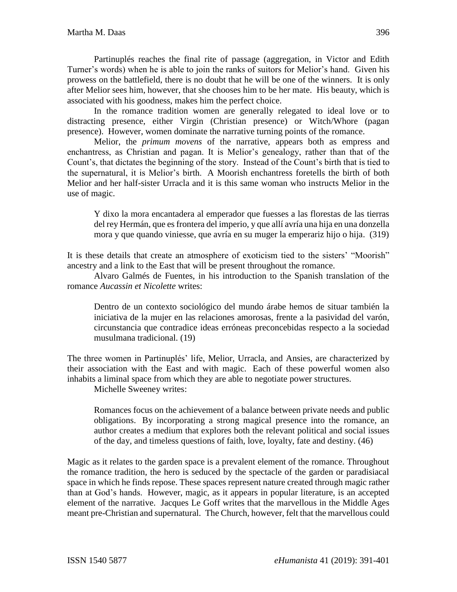Partinuplés reaches the final rite of passage (aggregation, in Victor and Edith Turner's words) when he is able to join the ranks of suitors for Melior's hand. Given his prowess on the battlefield, there is no doubt that he will be one of the winners. It is only after Melior sees him, however, that she chooses him to be her mate. His beauty, which is associated with his goodness, makes him the perfect choice.

In the romance tradition women are generally relegated to ideal love or to distracting presence, either Virgin (Christian presence) or Witch/Whore (pagan presence). However, women dominate the narrative turning points of the romance.

Melior, the *primum movens* of the narrative, appears both as empress and enchantress, as Christian and pagan. It is Melior's genealogy, rather than that of the Count's, that dictates the beginning of the story. Instead of the Count's birth that is tied to the supernatural, it is Melior's birth. A Moorish enchantress foretells the birth of both Melior and her half-sister Urracla and it is this same woman who instructs Melior in the use of magic.

Y dixo la mora encantadera al emperador que fuesses a las florestas de las tierras del rey Hermán, que es frontera del imperio, y que allí avría una hija en una donzella mora y que quando viniesse, que avría en su muger la emperariz hijo o hija. (319)

It is these details that create an atmosphere of exoticism tied to the sisters' "Moorish" ancestry and a link to the East that will be present throughout the romance.

Alvaro Galmés de Fuentes, in his introduction to the Spanish translation of the romance *Aucassin et Nicolette* writes:

Dentro de un contexto sociológico del mundo árabe hemos de situar también la iniciativa de la mujer en las relaciones amorosas, frente a la pasividad del varón, circunstancia que contradice ideas erróneas preconcebidas respecto a la sociedad musulmana tradicional. (19)

The three women in Partinuplés' life, Melior, Urracla, and Ansies, are characterized by their association with the East and with magic. Each of these powerful women also inhabits a liminal space from which they are able to negotiate power structures.

Michelle Sweeney writes:

Romances focus on the achievement of a balance between private needs and public obligations. By incorporating a strong magical presence into the romance, an author creates a medium that explores both the relevant political and social issues of the day, and timeless questions of faith, love, loyalty, fate and destiny. (46)

Magic as it relates to the garden space is a prevalent element of the romance. Throughout the romance tradition, the hero is seduced by the spectacle of the garden or paradisiacal space in which he finds repose. These spaces represent nature created through magic rather than at God's hands. However, magic, as it appears in popular literature, is an accepted element of the narrative. Jacques Le Goff writes that the marvellous in the Middle Ages meant pre-Christian and supernatural. The Church, however, felt that the marvellous could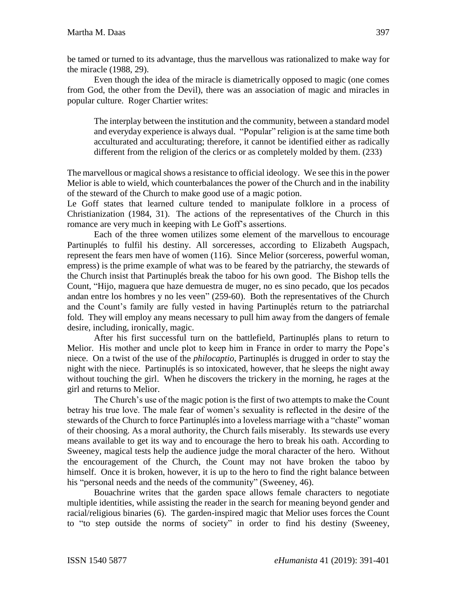be tamed or turned to its advantage, thus the marvellous was rationalized to make way for the miracle (1988, 29).

Even though the idea of the miracle is diametrically opposed to magic (one comes from God, the other from the Devil), there was an association of magic and miracles in popular culture. Roger Chartier writes:

The interplay between the institution and the community, between a standard model and everyday experience is always dual. "Popular" religion is at the same time both acculturated and acculturating; therefore, it cannot be identified either as radically different from the religion of the clerics or as completely molded by them. (233)

The marvellous or magical shows a resistance to official ideology. We see this in the power Melior is able to wield, which counterbalances the power of the Church and in the inability of the steward of the Church to make good use of a magic potion.

Le Goff states that learned culture tended to manipulate folklore in a process of Christianization (1984, 31). The actions of the representatives of the Church in this romance are very much in keeping with Le Goff's assertions.

Each of the three women utilizes some element of the marvellous to encourage Partinuplés to fulfil his destiny. All sorceresses, according to Elizabeth Augspach, represent the fears men have of women (116). Since Melior (sorceress, powerful woman, empress) is the prime example of what was to be feared by the patriarchy, the stewards of the Church insist that Partinuplés break the taboo for his own good. The Bishop tells the Count, "Hijo, maguera que haze demuestra de muger, no es sino pecado, que los pecados andan entre los hombres y no les veen" (259-60). Both the representatives of the Church and the Count's family are fully vested in having Partinuplés return to the patriarchal fold. They will employ any means necessary to pull him away from the dangers of female desire, including, ironically, magic.

After his first successful turn on the battlefield, Partinuplés plans to return to Melior. His mother and uncle plot to keep him in France in order to marry the Pope's niece. On a twist of the use of the *philocaptio*, Partinuplés is drugged in order to stay the night with the niece. Partinuplés is so intoxicated, however, that he sleeps the night away without touching the girl. When he discovers the trickery in the morning, he rages at the girl and returns to Melior.

The Church's use of the magic potion is the first of two attempts to make the Count betray his true love. The male fear of women's sexuality is reflected in the desire of the stewards of the Church to force Partinuplés into a loveless marriage with a "chaste" woman of their choosing. As a moral authority, the Church fails miserably. Its stewards use every means available to get its way and to encourage the hero to break his oath. According to Sweeney, magical tests help the audience judge the moral character of the hero. Without the encouragement of the Church, the Count may not have broken the taboo by himself. Once it is broken, however, it is up to the hero to find the right balance between his "personal needs and the needs of the community" (Sweeney, 46).

Bouachrine writes that the garden space allows female characters to negotiate multiple identities, while assisting the reader in the search for meaning beyond gender and racial/religious binaries (6). The garden-inspired magic that Melior uses forces the Count to "to step outside the norms of society" in order to find his destiny (Sweeney,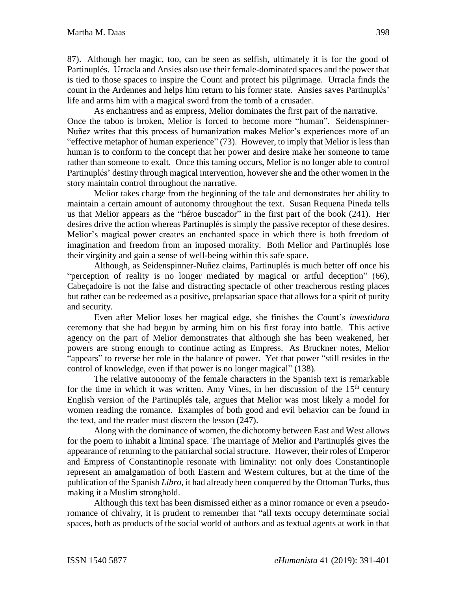87). Although her magic, too, can be seen as selfish, ultimately it is for the good of Partinuplés. Urracla and Ansies also use their female-dominated spaces and the power that is tied to those spaces to inspire the Count and protect his pilgrimage. Urracla finds the count in the Ardennes and helps him return to his former state. Ansies saves Partinuplés' life and arms him with a magical sword from the tomb of a crusader.

As enchantress and as empress, Melior dominates the first part of the narrative. Once the taboo is broken, Melior is forced to become more "human". Seidenspinner-Nuñez writes that this process of humanization makes Melior's experiences more of an "effective metaphor of human experience" (73). However, to imply that Melior is less than human is to conform to the concept that her power and desire make her someone to tame rather than someone to exalt. Once this taming occurs, Melior is no longer able to control Partinuplés' destiny through magical intervention, however she and the other women in the story maintain control throughout the narrative.

Melior takes charge from the beginning of the tale and demonstrates her ability to maintain a certain amount of autonomy throughout the text. Susan Requena Pineda tells us that Melior appears as the "héroe buscador" in the first part of the book (241). Her desires drive the action whereas Partinuplés is simply the passive receptor of these desires. Melior's magical power creates an enchanted space in which there is both freedom of imagination and freedom from an imposed morality. Both Melior and Partinuplés lose their virginity and gain a sense of well-being within this safe space.

Although, as Seidenspinner-Nuñez claims, Partinuplés is much better off once his "perception of reality is no longer mediated by magical or artful deception" (66), Cabeçadoire is not the false and distracting spectacle of other treacherous resting places but rather can be redeemed as a positive, prelapsarian space that allows for a spirit of purity and security.

Even after Melior loses her magical edge, she finishes the Count's *investidura* ceremony that she had begun by arming him on his first foray into battle. This active agency on the part of Melior demonstrates that although she has been weakened, her powers are strong enough to continue acting as Empress. As Bruckner notes, Melior "appears" to reverse her role in the balance of power. Yet that power "still resides in the control of knowledge, even if that power is no longer magical" (138).

The relative autonomy of the female characters in the Spanish text is remarkable for the time in which it was written. Amy Vines, in her discussion of the  $15<sup>th</sup>$  century English version of the Partinuplés tale, argues that Melior was most likely a model for women reading the romance. Examples of both good and evil behavior can be found in the text, and the reader must discern the lesson (247).

Along with the dominance of women, the dichotomy between East and West allows for the poem to inhabit a liminal space. The marriage of Melior and Partinuplés gives the appearance of returning to the patriarchal social structure. However, their roles of Emperor and Empress of Constantinople resonate with liminality: not only does Constantinople represent an amalgamation of both Eastern and Western cultures, but at the time of the publication of the Spanish *Libro*, it had already been conquered by the Ottoman Turks, thus making it a Muslim stronghold.

Although this text has been dismissed either as a minor romance or even a pseudoromance of chivalry, it is prudent to remember that "all texts occupy determinate social spaces, both as products of the social world of authors and as textual agents at work in that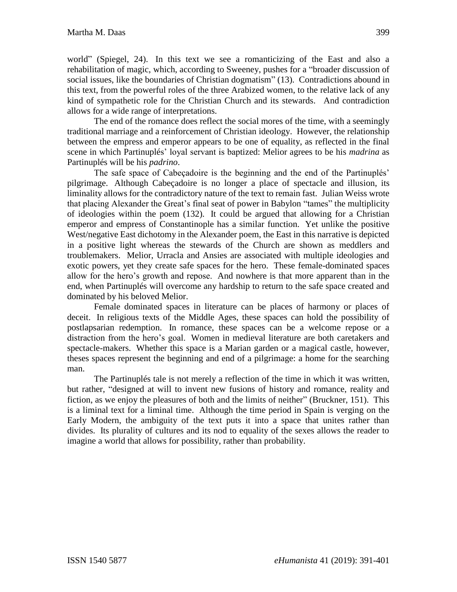world" (Spiegel, 24). In this text we see a romanticizing of the East and also a rehabilitation of magic, which, according to Sweeney, pushes for a "broader discussion of social issues, like the boundaries of Christian dogmatism" (13). Contradictions abound in this text, from the powerful roles of the three Arabized women, to the relative lack of any kind of sympathetic role for the Christian Church and its stewards. And contradiction allows for a wide range of interpretations.

The end of the romance does reflect the social mores of the time, with a seemingly traditional marriage and a reinforcement of Christian ideology. However, the relationship between the empress and emperor appears to be one of equality, as reflected in the final scene in which Partinuplés' loyal servant is baptized: Melior agrees to be his *madrina* as Partinuplés will be his *padrino*.

The safe space of Cabeçadoire is the beginning and the end of the Partinuplés' pilgrimage. Although Cabeçadoire is no longer a place of spectacle and illusion, its liminality allows for the contradictory nature of the text to remain fast. Julian Weiss wrote that placing Alexander the Great's final seat of power in Babylon "tames" the multiplicity of ideologies within the poem (132). It could be argued that allowing for a Christian emperor and empress of Constantinople has a similar function. Yet unlike the positive West/negative East dichotomy in the Alexander poem, the East in this narrative is depicted in a positive light whereas the stewards of the Church are shown as meddlers and troublemakers. Melior, Urracla and Ansies are associated with multiple ideologies and exotic powers, yet they create safe spaces for the hero. These female-dominated spaces allow for the hero's growth and repose. And nowhere is that more apparent than in the end, when Partinuplés will overcome any hardship to return to the safe space created and dominated by his beloved Melior.

Female dominated spaces in literature can be places of harmony or places of deceit. In religious texts of the Middle Ages, these spaces can hold the possibility of postlapsarian redemption. In romance, these spaces can be a welcome repose or a distraction from the hero's goal. Women in medieval literature are both caretakers and spectacle-makers. Whether this space is a Marian garden or a magical castle, however, theses spaces represent the beginning and end of a pilgrimage: a home for the searching man.

The Partinuplés tale is not merely a reflection of the time in which it was written, but rather, "designed at will to invent new fusions of history and romance, reality and fiction, as we enjoy the pleasures of both and the limits of neither" (Bruckner, 151). This is a liminal text for a liminal time. Although the time period in Spain is verging on the Early Modern, the ambiguity of the text puts it into a space that unites rather than divides. Its plurality of cultures and its nod to equality of the sexes allows the reader to imagine a world that allows for possibility, rather than probability.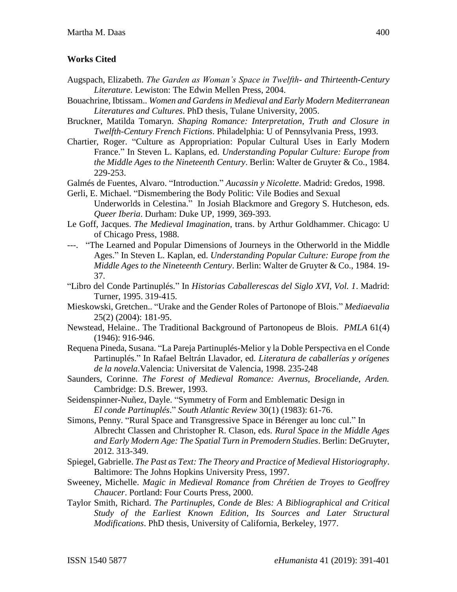## **Works Cited**

- Augspach, Elizabeth. *The Garden as Woman's Space in Twelfth- and Thirteenth-Century Literature*. Lewiston: The Edwin Mellen Press, 2004.
- Bouachrine, Ibtissam.. *Women and Gardens in Medieval and Early Modern Mediterranean Literatures and Cultures*. PhD thesis, Tulane University, 2005.
- Bruckner, Matilda Tomaryn. *Shaping Romance: Interpretation, Truth and Closure in Twelfth-Century French Fictions*. Philadelphia: U of Pennsylvania Press, 1993.
- Chartier, Roger. "Culture as Appropriation: Popular Cultural Uses in Early Modern France." In Steven L. Kaplans, ed. *Understanding Popular Culture: Europe from the Middle Ages to the Nineteenth Century*. Berlin: Walter de Gruyter & Co., 1984. 229-253.
- Galmés de Fuentes, Alvaro. "Introduction." *Aucassin y Nicolette*. Madrid: Gredos, 1998.
- Gerli, E. Michael. "Dismembering the Body Politic: Vile Bodies and Sexual

Underworlds in Celestina." In Josiah Blackmore and Gregory S. Hutcheson, eds. *Queer Iberia*. Durham: Duke UP, 1999, 369-393.

- Le Goff, Jacques. *The Medieval Imagination*, trans. by Arthur Goldhammer. Chicago: U of Chicago Press, 1988.
- ---. "The Learned and Popular Dimensions of Journeys in the Otherworld in the Middle Ages." In Steven L. Kaplan, ed. *Understanding Popular Culture: Europe from the Middle Ages to the Nineteenth Century*. Berlin: Walter de Gruyter & Co., 1984. 19- 37.
- "Libro del Conde Partinuplés." In *Historias Caballerescas del Siglo XVI, Vol. 1*. Madrid: Turner, 1995. 319-415.
- Mieskowski, Gretchen.. "Urake and the Gender Roles of Partonope of Blois." *Mediaevalia* 25(2) (2004): 181-95.
- Newstead, Helaine.. The Traditional Background of Partonopeus de Blois. *PMLA* 61(4) (1946): 916-946.
- Requena Pineda, Susana. "La Pareja Partinuplés-Melior y la Doble Perspectiva en el Conde Partinuplés." In Rafael Beltrán Llavador, ed. *Literatura de caballerías y orígenes de la novela*.Valencia: Universitat de Valencia, 1998. 235-248
- Saunders, Corinne. *The Forest of Medieval Romance: Avernus, Broceliande, Arden.* Cambridge: D.S. Brewer, 1993.
- Seidenspinner-Nuñez, Dayle. "Symmetry of Form and Emblematic Design in *El conde Partinuplés*." *South Atlantic Review* 30(1) (1983): 61-76.
- Simons, Penny. "Rural Space and Transgressive Space in Bérenger au lonc cul." In Albrecht Classen and Christopher R. Clason, eds. *Rural Space in the Middle Ages and Early Modern Age: The Spatial Turn in Premodern Studies*. Berlin: DeGruyter, 2012. 313-349.
- Spiegel, Gabrielle. *The Past as Text: The Theory and Practice of Medieval Historiography*. Baltimore: The Johns Hopkins University Press, 1997.
- Sweeney, Michelle. *Magic in Medieval Romance from Chrétien de Troyes to Geoffrey Chaucer*. Portland: Four Courts Press, 2000.
- Taylor Smith, Richard. *The Partinuples, Conde de Bles: A Bibliographical and Critical Study of the Earliest Known Edition, Its Sources and Later Structural Modifications*. PhD thesis, University of California, Berkeley, 1977.